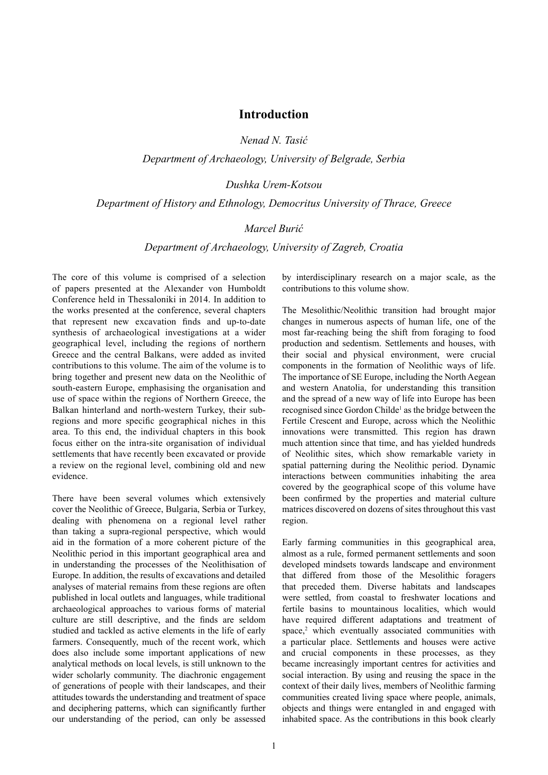# **Introduction**

*Nenad N. Tasić*

*Department of Archaeology, University of Belgrade, Serbia*

#### *Dushka Urem-Kotsou*

#### *Department of History and Ethnology, Democritus University of Thrace, Greece*

### *Marcel Burić*

# *Department of Archaeology, University of Zagreb, Croatia*

The core of this volume is comprised of a selection of papers presented at the Alexander von Humboldt Conference held in Thessaloniki in 2014. In addition to the works presented at the conference, several chapters that represent new excavation finds and up-to-date synthesis of archaeological investigations at a wider geographical level, including the regions of northern Greece and the central Balkans, were added as invited contributions to this volume. The aim of the volume is to bring together and present new data on the Neolithic of south-eastern Europe, emphasising the organisation and use of space within the regions of Northern Greece, the Balkan hinterland and north-western Turkey, their subregions and more specific geographical niches in this area. To this end, the individual chapters in this book focus either on the intra-site organisation of individual settlements that have recently been excavated or provide a review on the regional level, combining old and new evidence.

There have been several volumes which extensively cover the Neolithic of Greece, Bulgaria, Serbia or Turkey, dealing with phenomena on a regional level rather than taking a supra-regional perspective, which would aid in the formation of a more coherent picture of the Neolithic period in this important geographical area and in understanding the processes of the Neolithisation of Europe. In addition, the results of excavations and detailed analyses of material remains from these regions are often published in local outlets and languages, while traditional archaeological approaches to various forms of material culture are still descriptive, and the finds are seldom studied and tackled as active elements in the life of early farmers. Consequently, much of the recent work, which does also include some important applications of new analytical methods on local levels, is still unknown to the wider scholarly community. The diachronic engagement of generations of people with their landscapes, and their attitudes towards the understanding and treatment of space and deciphering patterns, which can significantly further our understanding of the period, can only be assessed by interdisciplinary research on a major scale, as the contributions to this volume show.

The Mesolithic/Neolithic transition had brought major changes in numerous aspects of human life, one of the most far-reaching being the shift from foraging to food production and sedentism. Settlements and houses, with their social and physical environment, were crucial components in the formation of Neolithic ways of life. The importance of SE Europe, including the North Aegean and western Anatolia, for understanding this transition and the spread of a new way of life into Europe has been recognised since Gordon Childe<sup>1</sup> as the bridge between the Fertile Crescent and Europe, across which the Neolithic innovations were transmitted. This region has drawn much attention since that time, and has yielded hundreds of Neolithic sites, which show remarkable variety in spatial patterning during the Neolithic period. Dynamic interactions between communities inhabiting the area covered by the geographical scope of this volume have been confirmed by the properties and material culture matrices discovered on dozens of sites throughout this vast region.

Early farming communities in this geographical area, almost as a rule, formed permanent settlements and soon developed mindsets towards landscape and environment that differed from those of the Mesolithic foragers that preceded them. Diverse habitats and landscapes were settled, from coastal to freshwater locations and fertile basins to mountainous localities, which would have required different adaptations and treatment of space,<sup>2</sup> which eventually associated communities with a particular place. Settlements and houses were active and crucial components in these processes, as they became increasingly important centres for activities and social interaction. By using and reusing the space in the context of their daily lives, members of Neolithic farming communities created living space where people, animals, objects and things were entangled in and engaged with inhabited space. As the contributions in this book clearly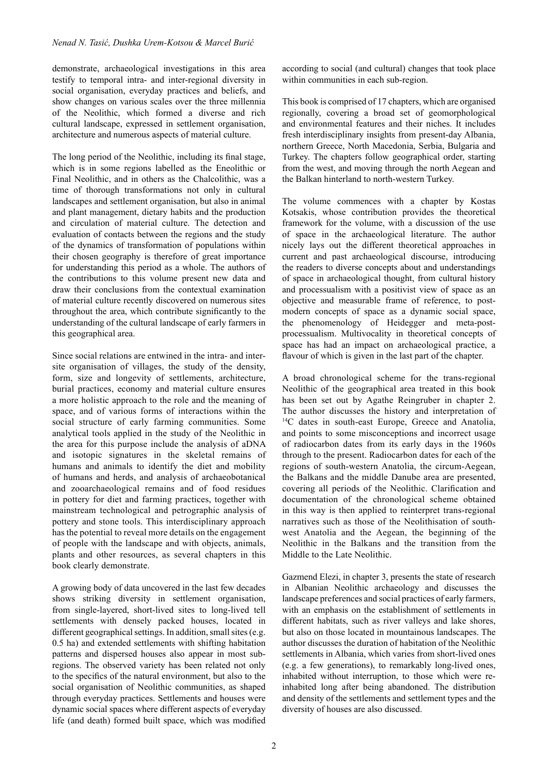demonstrate, archaeological investigations in this area testify to temporal intra- and inter-regional diversity in social organisation, everyday practices and beliefs, and show changes on various scales over the three millennia of the Neolithic, which formed a diverse and rich cultural landscape, expressed in settlement organisation, architecture and numerous aspects of material culture.

The long period of the Neolithic, including its final stage, which is in some regions labelled as the Eneolithic or Final Neolithic, and in others as the Chalcolithic, was a time of thorough transformations not only in cultural landscapes and settlement organisation, but also in animal and plant management, dietary habits and the production and circulation of material culture. The detection and evaluation of contacts between the regions and the study of the dynamics of transformation of populations within their chosen geography is therefore of great importance for understanding this period as a whole. The authors of the contributions to this volume present new data and draw their conclusions from the contextual examination of material culture recently discovered on numerous sites throughout the area, which contribute significantly to the understanding of the cultural landscape of early farmers in this geographical area.

Since social relations are entwined in the intra- and intersite organisation of villages, the study of the density, form, size and longevity of settlements, architecture, burial practices, economy and material culture ensures a more holistic approach to the role and the meaning of space, and of various forms of interactions within the social structure of early farming communities. Some analytical tools applied in the study of the Neolithic in the area for this purpose include the analysis of aDNA and isotopic signatures in the skeletal remains of humans and animals to identify the diet and mobility of humans and herds, and analysis of archaeobotanical and zooarchaeological remains and of food residues in pottery for diet and farming practices, together with mainstream technological and petrographic analysis of pottery and stone tools. This interdisciplinary approach has the potential to reveal more details on the engagement of people with the landscape and with objects, animals, plants and other resources, as several chapters in this book clearly demonstrate.

A growing body of data uncovered in the last few decades shows striking diversity in settlement organisation, from single-layered, short-lived sites to long-lived tell settlements with densely packed houses, located in different geographical settings. In addition, small sites (e.g. 0.5 ha) and extended settlements with shifting habitation patterns and dispersed houses also appear in most subregions. The observed variety has been related not only to the specifics of the natural environment, but also to the social organisation of Neolithic communities, as shaped through everyday practices. Settlements and houses were dynamic social spaces where different aspects of everyday life (and death) formed built space, which was modified

according to social (and cultural) changes that took place within communities in each sub-region.

This book is comprised of 17 chapters, which are organised regionally, covering a broad set of geomorphological and environmental features and their niches. It includes fresh interdisciplinary insights from present-day Albania, northern Greece, North Macedonia, Serbia, Bulgaria and Turkey. The chapters follow geographical order, starting from the west, and moving through the north Aegean and the Balkan hinterland to north-western Turkey.

The volume commences with a chapter by Kostas Kotsakis, whose contribution provides the theoretical framework for the volume, with a discussion of the use of space in the archaeological literature. The author nicely lays out the different theoretical approaches in current and past archaeological discourse, introducing the readers to diverse concepts about and understandings of space in archaeological thought, from cultural history and processualism with a positivist view of space as an objective and measurable frame of reference, to postmodern concepts of space as a dynamic social space, the phenomenology of Heidegger and meta-postprocessualism. Multivocality in theoretical concepts of space has had an impact on archaeological practice, a flavour of which is given in the last part of the chapter.

A broad chronological scheme for the trans-regional Neolithic of the geographical area treated in this book has been set out by Agathe Reingruber in chapter 2. The author discusses the history and interpretation of <sup>14</sup>C dates in south-east Europe, Greece and Anatolia, and points to some misconceptions and incorrect usage of radiocarbon dates from its early days in the 1960s through to the present. Radiocarbon dates for each of the regions of south-western Anatolia, the circum-Aegean, the Balkans and the middle Danube area are presented, covering all periods of the Neolithic. Clarification and documentation of the chronological scheme obtained in this way is then applied to reinterpret trans-regional narratives such as those of the Neolithisation of southwest Anatolia and the Aegean, the beginning of the Neolithic in the Balkans and the transition from the Middle to the Late Neolithic.

Gazmend Elezi, in chapter 3, presents the state of research in Albanian Neolithic archaeology and discusses the landscape preferences and social practices of early farmers, with an emphasis on the establishment of settlements in different habitats, such as river valleys and lake shores, but also on those located in mountainous landscapes. The author discusses the duration of habitation of the Neolithic settlements in Albania, which varies from short-lived ones (e.g. a few generations), to remarkably long-lived ones, inhabited without interruption, to those which were reinhabited long after being abandoned. The distribution and density of the settlements and settlement types and the diversity of houses are also discussed.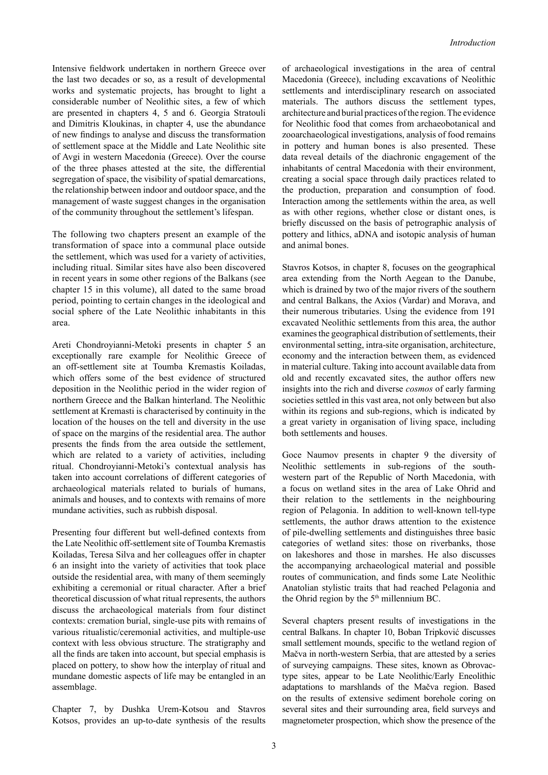Intensive fieldwork undertaken in northern Greece over the last two decades or so, as a result of developmental works and systematic projects, has brought to light a considerable number of Neolithic sites, a few of which are presented in chapters 4, 5 and 6. Georgia Stratouli and Dimitris Kloukinas, in chapter 4, use the abundance of new findings to analyse and discuss the transformation of settlement space at the Middle and Late Neolithic site of Avgi in western Macedonia (Greece). Over the course of the three phases attested at the site, the differential segregation of space, the visibility of spatial demarcations, the relationship between indoor and outdoor space, and the management of waste suggest changes in the organisation of the community throughout the settlement's lifespan.

The following two chapters present an example of the transformation of space into a communal place outside the settlement, which was used for a variety of activities, including ritual. Similar sites have also been discovered in recent years in some other regions of the Balkans (see chapter 15 in this volume), all dated to the same broad period, pointing to certain changes in the ideological and social sphere of the Late Neolithic inhabitants in this area.

Areti Chondroyianni-Metoki presents in chapter 5 an exceptionally rare example for Neolithic Greece of an off-settlement site at Toumba Kremastis Koiladas, which offers some of the best evidence of structured deposition in the Neolithic period in the wider region of northern Greece and the Balkan hinterland. The Neolithic settlement at Kremasti is characterised by continuity in the location of the houses on the tell and diversity in the use of space on the margins of the residential area. The author presents the finds from the area outside the settlement, which are related to a variety of activities, including ritual. Chondroyianni-Metoki's contextual analysis has taken into account correlations of different categories of archaeological materials related to burials of humans, animals and houses, and to contexts with remains of more mundane activities, such as rubbish disposal.

Presenting four different but well-defined contexts from the Late Neolithic off-settlement site of Toumba Kremastis Koiladas, Teresa Silva and her colleagues offer in chapter 6 an insight into the variety of activities that took place outside the residential area, with many of them seemingly exhibiting a ceremonial or ritual character. After a brief theoretical discussion of what ritual represents, the authors discuss the archaeological materials from four distinct contexts: cremation burial, single-use pits with remains of various ritualistic/ceremonial activities, and multiple-use context with less obvious structure. The stratigraphy and all the finds are taken into account, but special emphasis is placed on pottery, to show how the interplay of ritual and mundane domestic aspects of life may be entangled in an assemblage.

Chapter 7, by Dushka Urem-Kotsou and Stavros Kotsos, provides an up-to-date synthesis of the results

of archaeological investigations in the area of central Macedonia (Greece), including excavations of Neolithic settlements and interdisciplinary research on associated materials. The authors discuss the settlement types, architecture and burial practices of the region. The evidence for Neolithic food that comes from archaeobotanical and zooarchaeological investigations, analysis of food remains in pottery and human bones is also presented. These data reveal details of the diachronic engagement of the inhabitants of central Macedonia with their environment, creating a social space through daily practices related to the production, preparation and consumption of food. Interaction among the settlements within the area, as well as with other regions, whether close or distant ones, is briefly discussed on the basis of petrographic analysis of pottery and lithics, aDNA and isotopic analysis of human and animal bones.

Stavros Kotsos, in chapter 8, focuses on the geographical area extending from the North Aegean to the Danube, which is drained by two of the major rivers of the southern and central Balkans, the Axios (Vardar) and Morava, and their numerous tributaries. Using the evidence from 191 excavated Neolithic settlements from this area, the author examines the geographical distribution of settlements, their environmental setting, intra-site organisation, architecture, economy and the interaction between them, as evidenced in material culture. Taking into account available data from old and recently excavated sites, the author offers new insights into the rich and diverse *cosmos* of early farming societies settled in this vast area, not only between but also within its regions and sub-regions, which is indicated by a great variety in organisation of living space, including both settlements and houses.

Goce Naumov presents in chapter 9 the diversity of Neolithic settlements in sub-regions of the southwestern part of the Republic of North Macedonia, with a focus on wetland sites in the area of Lake Ohrid and their relation to the settlements in the neighbouring region of Pelagonia. In addition to well-known tell-type settlements, the author draws attention to the existence of pile-dwelling settlements and distinguishes three basic categories of wetland sites: those on riverbanks, those on lakeshores and those in marshes. He also discusses the accompanying archaeological material and possible routes of communication, and finds some Late Neolithic Anatolian stylistic traits that had reached Pelagonia and the Ohrid region by the  $5<sup>th</sup>$  millennium BC.

Several chapters present results of investigations in the central Balkans. In chapter 10, Boban Tripković discusses small settlement mounds, specific to the wetland region of Mačva in north-western Serbia, that are attested by a series of surveying campaigns. These sites, known as Obrovactype sites, appear to be Late Neolithic/Early Eneolithic adaptations to marshlands of the Mačva region. Based on the results of extensive sediment borehole coring on several sites and their surrounding area, field surveys and magnetometer prospection, which show the presence of the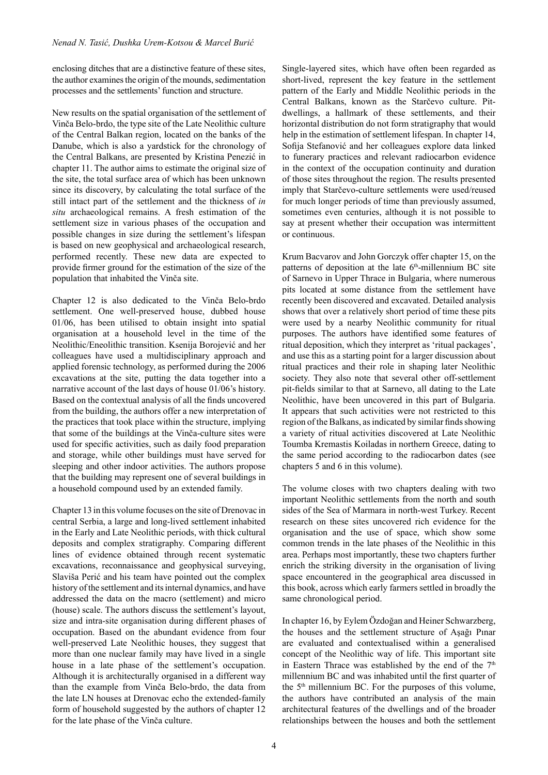enclosing ditches that are a distinctive feature of these sites, the author examines the origin of the mounds, sedimentation processes and the settlements' function and structure.

New results on the spatial organisation of the settlement of Vinča Belo-brdo, the type site of the Late Neolithic culture of the Central Balkan region, located on the banks of the Danube, which is also a yardstick for the chronology of the Central Balkans, are presented by Kristina Penezić in chapter 11. The author aims to estimate the original size of the site, the total surface area of which has been unknown since its discovery, by calculating the total surface of the still intact part of the settlement and the thickness of *in situ* archaeological remains. A fresh estimation of the settlement size in various phases of the occupation and possible changes in size during the settlement's lifespan is based on new geophysical and archaeological research, performed recently. These new data are expected to provide firmer ground for the estimation of the size of the population that inhabited the Vinča site.

Chapter 12 is also dedicated to the Vinča Belo-brdo settlement. One well-preserved house, dubbed house 01/06, has been utilised to obtain insight into spatial organisation at a household level in the time of the Neolithic/Eneolithic transition. Ksenija Borojević and her colleagues have used a multidisciplinary approach and applied forensic technology, as performed during the 2006 excavations at the site, putting the data together into a narrative account of the last days of house 01/06's history. Based on the contextual analysis of all the finds uncovered from the building, the authors offer a new interpretation of the practices that took place within the structure, implying that some of the buildings at the Vinča-culture sites were used for specific activities, such as daily food preparation and storage, while other buildings must have served for sleeping and other indoor activities. The authors propose that the building may represent one of several buildings in a household compound used by an extended family.

Chapter 13 in this volume focuses on the site of Drenovac in central Serbia, a large and long-lived settlement inhabited in the Early and Late Neolithic periods, with thick cultural deposits and complex stratigraphy. Comparing different lines of evidence obtained through recent systematic excavations, reconnaissance and geophysical surveying, Slaviša Perić and his team have pointed out the complex history of the settlement and its internal dynamics, and have addressed the data on the macro (settlement) and micro (house) scale. The authors discuss the settlement's layout, size and intra-site organisation during different phases of occupation. Based on the abundant evidence from four well-preserved Late Neolithic houses, they suggest that more than one nuclear family may have lived in a single house in a late phase of the settlement's occupation. Although it is architecturally organised in a different way than the example from Vinča Belo-brdo, the data from the late LN houses at Drenovac echo the extended-family form of household suggested by the authors of chapter 12 for the late phase of the Vinča culture.

Single-layered sites, which have often been regarded as short-lived, represent the key feature in the settlement pattern of the Early and Middle Neolithic periods in the Central Balkans, known as the Starčevo culture. Pitdwellings, a hallmark of these settlements, and their horizontal distribution do not form stratigraphy that would help in the estimation of settlement lifespan. In chapter 14, Sofija Stefanović and her colleagues explore data linked to funerary practices and relevant radiocarbon evidence in the context of the occupation continuity and duration of those sites throughout the region. The results presented imply that Starčevo-culture settlements were used/reused for much longer periods of time than previously assumed, sometimes even centuries, although it is not possible to say at present whether their occupation was intermittent or continuous.

Krum Bacvarov and John Gorczyk offer chapter 15, on the patterns of deposition at the late  $6<sup>th</sup>$ -millennium BC site of Sarnevo in Upper Thrace in Bulgaria, where numerous pits located at some distance from the settlement have recently been discovered and excavated. Detailed analysis shows that over a relatively short period of time these pits were used by a nearby Neolithic community for ritual purposes. The authors have identified some features of ritual deposition, which they interpret as 'ritual packages', and use this as a starting point for a larger discussion about ritual practices and their role in shaping later Neolithic society. They also note that several other off-settlement pit-fields similar to that at Sarnevo, all dating to the Late Neolithic, have been uncovered in this part of Bulgaria. It appears that such activities were not restricted to this region of the Balkans, as indicated by similar finds showing a variety of ritual activities discovered at Late Neolithic Toumba Kremastis Koiladas in northern Greece, dating to the same period according to the radiocarbon dates (see chapters 5 and 6 in this volume).

The volume closes with two chapters dealing with two important Neolithic settlements from the north and south sides of the Sea of Marmara in north-west Turkey. Recent research on these sites uncovered rich evidence for the organisation and the use of space, which show some common trends in the late phases of the Neolithic in this area. Perhaps most importantly, these two chapters further enrich the striking diversity in the organisation of living space encountered in the geographical area discussed in this book, across which early farmers settled in broadly the same chronological period.

In chapter 16, by Eylem Özdoğan and Heiner Schwarzberg, the houses and the settlement structure of Aşağı Pınar are evaluated and contextualised within a generalised concept of the Neolithic way of life. This important site in Eastern Thrace was established by the end of the  $7<sup>th</sup>$ millennium BC and was inhabited until the first quarter of the  $5<sup>th</sup>$  millennium BC. For the purposes of this volume, the authors have contributed an analysis of the main architectural features of the dwellings and of the broader relationships between the houses and both the settlement